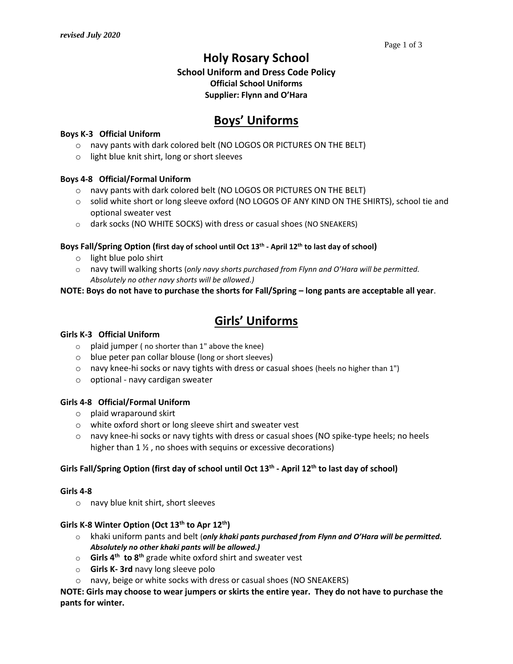## **Holy Rosary School**

## **School Uniform and Dress Code Policy Official School Uniforms Supplier: Flynn and O'Hara**

# **Boys' Uniforms**

### **Boys K-3 Official Uniform**

- o navy pants with dark colored belt (NO LOGOS OR PICTURES ON THE BELT)
- o light blue knit shirt, long or short sleeves

#### **Boys 4-8 Official/Formal Uniform**

- o navy pants with dark colored belt (NO LOGOS OR PICTURES ON THE BELT)
- o solid white short or long sleeve oxford (NO LOGOS OF ANY KIND ON THE SHIRTS), school tie and optional sweater vest
- o dark socks (NO WHITE SOCKS) with dress or casual shoes (NO SNEAKERS)

## **Boys Fall/Spring Option (first day of school until Oct 13 th - April 12 th to last day of school)**

- o light blue polo shirt
- o navy twill walking shorts (*only navy shorts purchased from Flynn and O'Hara will be permitted. Absolutely no other navy shorts will be allowed.)*

## **NOTE: Boys do not have to purchase the shorts for Fall/Spring – long pants are acceptable all year**.

# **Girls' Uniforms**

### **Girls K-3 Official Uniform**

- $\circ$  plaid jumper (no shorter than 1" above the knee)
- o blue peter pan collar blouse (long or short sleeves)
- $\circ$  navy knee-hi socks or navy tights with dress or casual shoes (heels no higher than 1")
- o optional navy cardigan sweater

#### **Girls 4-8 Official/Formal Uniform**

- o plaid wraparound skirt
- o white oxford short or long sleeve shirt and sweater vest
- o navy knee-hi socks or navy tights with dress or casual shoes (NO spike-type heels; no heels higher than  $1\frac{1}{2}$ , no shoes with sequins or excessive decorations)

## Girls Fall/Spring Option (first day of school until Oct 13<sup>th</sup> - April 12<sup>th</sup> to last day of school)

#### **Girls 4-8**

o navy blue knit shirt, short sleeves

## **Girls K-8 Winter Option (Oct 13 th to Apr 12 th)**

- o khaki uniform pants and belt (*only khaki pants purchased from Flynn and O'Hara will be permitted. Absolutely no other khaki pants will be allowed.)*
- o **Girls 4th to 8th** grade white oxford shirt and sweater vest
- o **Girls K- 3rd** navy long sleeve polo
- o navy, beige or white socks with dress or casual shoes (NO SNEAKERS)

**NOTE: Girls may choose to wear jumpers or skirts the entire year. They do not have to purchase the pants for winter.**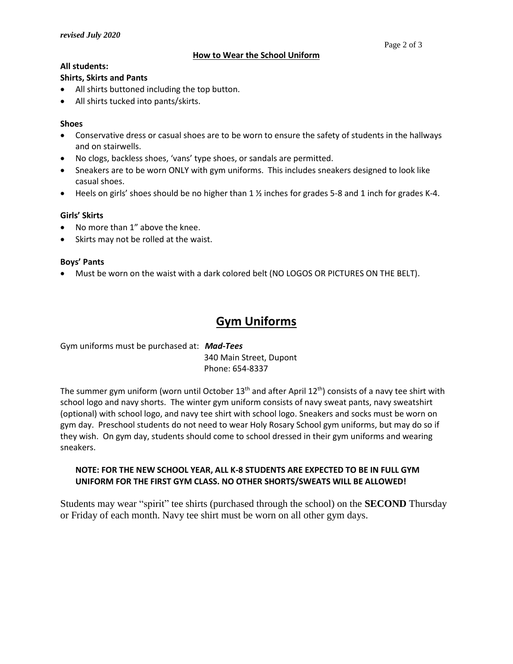### **All students:**

### **Shirts, Skirts and Pants**

- All shirts buttoned including the top button.
- All shirts tucked into pants/skirts.

## **Shoes**

- Conservative dress or casual shoes are to be worn to ensure the safety of students in the hallways and on stairwells.
- No clogs, backless shoes, 'vans' type shoes, or sandals are permitted.
- Sneakers are to be worn ONLY with gym uniforms. This includes sneakers designed to look like casual shoes.
- Heels on girls' shoes should be no higher than  $1 \frac{1}{2}$  inches for grades 5-8 and 1 inch for grades K-4.

## **Girls' Skirts**

- No more than 1" above the knee.
- Skirts may not be rolled at the waist.

## **Boys' Pants**

Must be worn on the waist with a dark colored belt (NO LOGOS OR PICTURES ON THE BELT).

# **Gym Uniforms**

Gym uniforms must be purchased at: *Mad-Tees* 340 Main Street, Dupont Phone: 654-8337

The summer gym uniform (worn until October 13<sup>th</sup> and after April 12<sup>th</sup>) consists of a navy tee shirt with school logo and navy shorts. The winter gym uniform consists of navy sweat pants, navy sweatshirt (optional) with school logo, and navy tee shirt with school logo. Sneakers and socks must be worn on gym day. Preschool students do not need to wear Holy Rosary School gym uniforms, but may do so if they wish. On gym day, students should come to school dressed in their gym uniforms and wearing sneakers.

## **NOTE: FOR THE NEW SCHOOL YEAR, ALL K-8 STUDENTS ARE EXPECTED TO BE IN FULL GYM UNIFORM FOR THE FIRST GYM CLASS. NO OTHER SHORTS/SWEATS WILL BE ALLOWED!**

Students may wear "spirit" tee shirts (purchased through the school) on the **SECOND** Thursday or Friday of each month. Navy tee shirt must be worn on all other gym days.